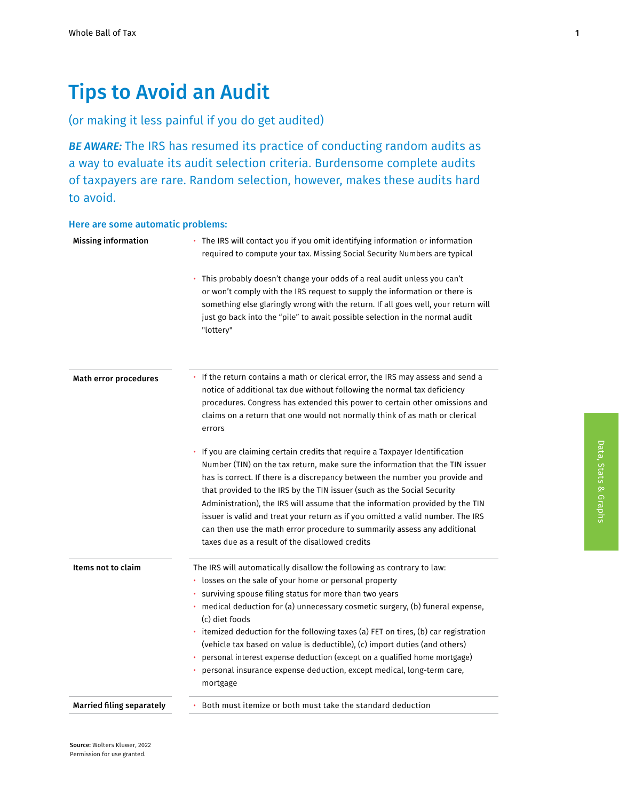# Tips to Avoid an Audit

# (or making it less painful if you do get audited)

*BE AWARE:* The IRS has resumed its practice of conducting random audits as a way to evaluate its audit selection criteria. Burdensome complete audits of taxpayers are rare. Random selection, however, makes these audits hard to avoid.

#### Here are some automatic problems:

| <b>Missing information</b>       | • The IRS will contact you if you omit identifying information or information<br>required to compute your tax. Missing Social Security Numbers are typical                                                                                                                                                                                                                                                                                                                                                                                                                                                                |
|----------------------------------|---------------------------------------------------------------------------------------------------------------------------------------------------------------------------------------------------------------------------------------------------------------------------------------------------------------------------------------------------------------------------------------------------------------------------------------------------------------------------------------------------------------------------------------------------------------------------------------------------------------------------|
|                                  | This probably doesn't change your odds of a real audit unless you can't<br>or won't comply with the IRS request to supply the information or there is<br>something else glaringly wrong with the return. If all goes well, your return will<br>just go back into the "pile" to await possible selection in the normal audit<br>"lottery"                                                                                                                                                                                                                                                                                  |
| Math error procedures            | • If the return contains a math or clerical error, the IRS may assess and send a<br>notice of additional tax due without following the normal tax deficiency<br>procedures. Congress has extended this power to certain other omissions and<br>claims on a return that one would not normally think of as math or clerical<br>errors                                                                                                                                                                                                                                                                                      |
|                                  | If you are claiming certain credits that require a Taxpayer Identification<br>Number (TIN) on the tax return, make sure the information that the TIN issuer<br>has is correct. If there is a discrepancy between the number you provide and<br>that provided to the IRS by the TIN issuer (such as the Social Security<br>Administration), the IRS will assume that the information provided by the TIN<br>issuer is valid and treat your return as if you omitted a valid number. The IRS<br>can then use the math error procedure to summarily assess any additional<br>taxes due as a result of the disallowed credits |
| Items not to claim               | The IRS will automatically disallow the following as contrary to law:<br>· losses on the sale of your home or personal property<br>surviving spouse filing status for more than two years<br>medical deduction for (a) unnecessary cosmetic surgery, (b) funeral expense,<br>(c) diet foods<br>• itemized deduction for the following taxes (a) FET on tires, (b) car registration<br>(vehicle tax based on value is deductible), (c) import duties (and others)<br>personal interest expense deduction (except on a qualified home mortgage)<br>personal insurance expense deduction, except medical, long-term care,    |
| <b>Married filing separately</b> | mortgage<br>Both must itemize or both must take the standard deduction                                                                                                                                                                                                                                                                                                                                                                                                                                                                                                                                                    |

1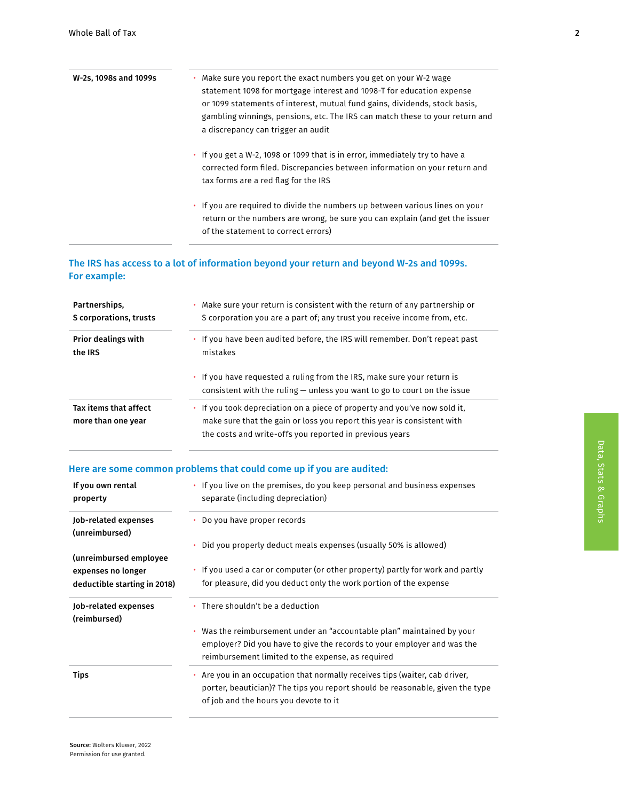| W-2s, 1098s and 1099s | . Make sure you report the exact numbers you get on your W-2 wage<br>statement 1098 for mortgage interest and 1098-T for education expense<br>or 1099 statements of interest, mutual fund gains, dividends, stock basis,<br>gambling winnings, pensions, etc. The IRS can match these to your return and<br>a discrepancy can trigger an audit |
|-----------------------|------------------------------------------------------------------------------------------------------------------------------------------------------------------------------------------------------------------------------------------------------------------------------------------------------------------------------------------------|
|                       | • If you get a W-2, 1098 or 1099 that is in error, immediately try to have a<br>corrected form filed. Discrepancies between information on your return and<br>tax forms are a red flag for the IRS                                                                                                                                             |
|                       | • If you are required to divide the numbers up between various lines on your<br>return or the numbers are wrong, be sure you can explain (and get the issuer                                                                                                                                                                                   |

## The IRS has access to a lot of information beyond your return and beyond W-2s and 1099s. For example:

of the statement to correct errors)

| Partnerships.                               | Make sure your return is consistent with the return of any partnership or                                                                                                                                          |
|---------------------------------------------|--------------------------------------------------------------------------------------------------------------------------------------------------------------------------------------------------------------------|
| S corporations, trusts                      | S corporation you are a part of; any trust you receive income from, etc.                                                                                                                                           |
| <b>Prior dealings with</b>                  | • If you have been audited before, the IRS will remember. Don't repeat past                                                                                                                                        |
| the IRS                                     | mistakes                                                                                                                                                                                                           |
|                                             | • If you have requested a ruling from the IRS, make sure your return is<br>consistent with the ruling $-$ unless you want to go to court on the issue                                                              |
| Tax items that affect<br>more than one year | If you took depreciation on a piece of property and you've now sold it,<br>٠<br>make sure that the gain or loss you report this year is consistent with<br>the costs and write-offs you reported in previous years |

## Here are some common problems that could come up if you are audited:

| If you own rental<br>property                      | • If you live on the premises, do you keep personal and business expenses<br>separate (including depreciation)                                                                                            |
|----------------------------------------------------|-----------------------------------------------------------------------------------------------------------------------------------------------------------------------------------------------------------|
| Job-related expenses<br>(unreimbursed)             | • Do you have proper records                                                                                                                                                                              |
| (unreimbursed employee)                            | • Did you properly deduct meals expenses (usually 50% is allowed)                                                                                                                                         |
| expenses no longer<br>deductible starting in 2018) | • If you used a car or computer (or other property) partly for work and partly<br>for pleasure, did you deduct only the work portion of the expense                                                       |
| Job-related expenses                               | There shouldn't be a deduction                                                                                                                                                                            |
| (reimbursed)                                       |                                                                                                                                                                                                           |
|                                                    | Was the reimbursement under an "accountable plan" maintained by your<br>٠<br>employer? Did you have to give the records to your employer and was the<br>reimbursement limited to the expense, as required |
| Tips                                               | Are you in an occupation that normally receives tips (waiter, cab driver,<br>porter, beautician)? The tips you report should be reasonable, given the type<br>of job and the hours you devote to it       |

Data, Stats & Graphs

Data, Stats & Graphs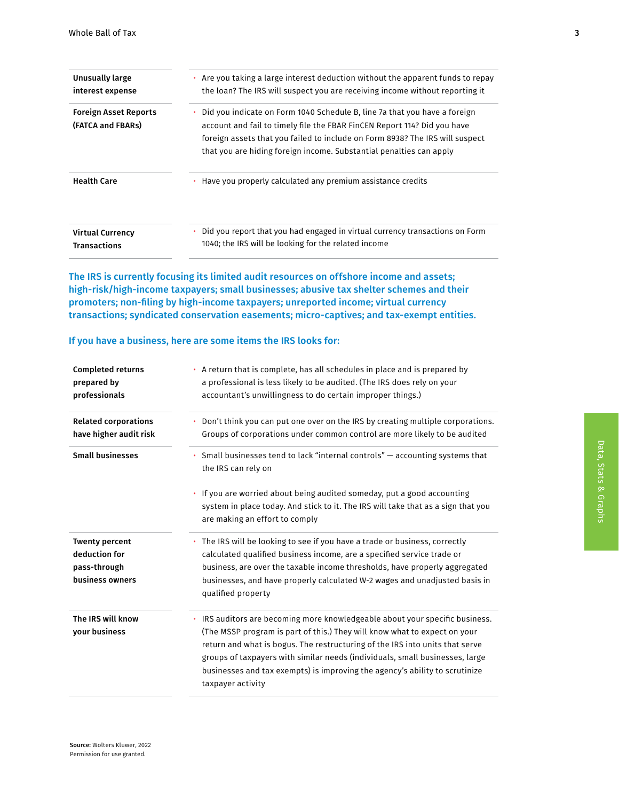| Unusually large<br>interest expense               | Are you taking a large interest deduction without the apparent funds to repay<br>٠<br>the loan? The IRS will suspect you are receiving income without reporting it                                                                                                                                                |
|---------------------------------------------------|-------------------------------------------------------------------------------------------------------------------------------------------------------------------------------------------------------------------------------------------------------------------------------------------------------------------|
| <b>Foreign Asset Reports</b><br>(FATCA and FBARs) | Did you indicate on Form 1040 Schedule B, line 7a that you have a foreign<br>٠<br>account and fail to timely file the FBAR FinCEN Report 114? Did you have<br>foreign assets that you failed to include on Form 8938? The IRS will suspect<br>that you are hiding foreign income. Substantial penalties can apply |
| <b>Health Care</b>                                | Have you properly calculated any premium assistance credits<br>٠                                                                                                                                                                                                                                                  |
| <b>Virtual Currency</b><br><b>Transactions</b>    | Did you report that you had engaged in virtual currency transactions on Form<br>1040; the IRS will be looking for the related income                                                                                                                                                                              |

The IRS is currently focusing its limited audit resources on offshore income and assets; high-risk/high-income taxpayers; small businesses; abusive tax shelter schemes and their promoters; non-filing by high-income taxpayers; unreported income; virtual currency transactions; syndicated conservation easements; micro-captives; and tax-exempt entities.

#### If you have a business, here are some items the IRS looks for:

| <b>Completed returns</b><br>prepared by<br>professionals                  | • A return that is complete, has all schedules in place and is prepared by<br>a professional is less likely to be audited. (The IRS does rely on your<br>accountant's unwillingness to do certain improper things.)                                                                                                                                                                                                           |
|---------------------------------------------------------------------------|-------------------------------------------------------------------------------------------------------------------------------------------------------------------------------------------------------------------------------------------------------------------------------------------------------------------------------------------------------------------------------------------------------------------------------|
| <b>Related corporations</b><br>have higher audit risk                     | • Don't think you can put one over on the IRS by creating multiple corporations.<br>Groups of corporations under common control are more likely to be audited                                                                                                                                                                                                                                                                 |
| <b>Small businesses</b>                                                   | • Small businesses tend to lack "internal controls" $-$ accounting systems that<br>the IRS can rely on                                                                                                                                                                                                                                                                                                                        |
|                                                                           | • If you are worried about being audited someday, put a good accounting<br>system in place today. And stick to it. The IRS will take that as a sign that you<br>are making an effort to comply                                                                                                                                                                                                                                |
| <b>Twenty percent</b><br>deduction for<br>pass-through<br>business owners | The IRS will be looking to see if you have a trade or business, correctly<br>calculated qualified business income, are a specified service trade or<br>business, are over the taxable income thresholds, have properly aggregated<br>businesses, and have properly calculated W-2 wages and unadjusted basis in<br>qualified property                                                                                         |
| The IRS will know<br>your business                                        | • IRS auditors are becoming more knowledgeable about your specific business.<br>(The MSSP program is part of this.) They will know what to expect on your<br>return and what is bogus. The restructuring of the IRS into units that serve<br>groups of taxpayers with similar needs (individuals, small businesses, large<br>businesses and tax exempts) is improving the agency's ability to scrutinize<br>taxpayer activity |